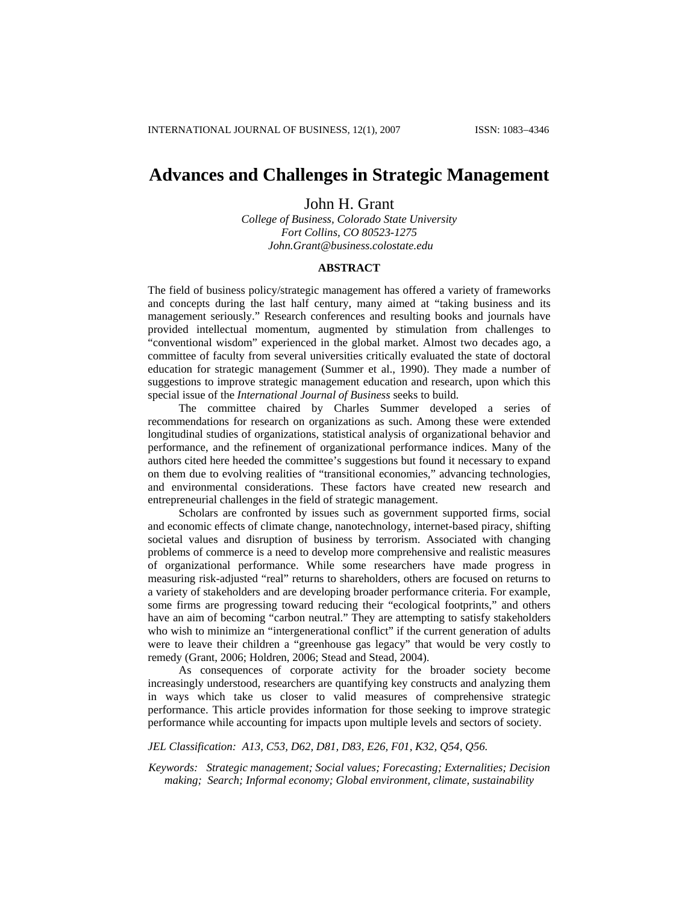# **Advances and Challenges in Strategic Management**

# John H. Grant

*College of Business, Colorado State University Fort Collins, CO 80523-1275 [John.Grant@business.colostate.edu](mailto:John.Grant@business.colostate.edu)*

#### **ABSTRACT**

The field of business policy/strategic management has offered a variety of frameworks and concepts during the last half century, many aimed at "taking business and its management seriously." Research conferences and resulting books and journals have provided intellectual momentum, augmented by stimulation from challenges to "conventional wisdom" experienced in the global market. Almost two decades ago, a committee of faculty from several universities critically evaluated the state of doctoral education for strategic management (Summer et al., 1990). They made a number of suggestions to improve strategic management education and research, upon which this special issue of the *International Journal of Business* seeks to build.

The committee chaired by Charles Summer developed a series of recommendations for research on organizations as such. Among these were extended longitudinal studies of organizations, statistical analysis of organizational behavior and performance, and the refinement of organizational performance indices. Many of the authors cited here heeded the committee's suggestions but found it necessary to expand on them due to evolving realities of "transitional economies," advancing technologies, and environmental considerations. These factors have created new research and entrepreneurial challenges in the field of strategic management.

Scholars are confronted by issues such as government supported firms, social and economic effects of climate change, nanotechnology, internet-based piracy, shifting societal values and disruption of business by terrorism. Associated with changing problems of commerce is a need to develop more comprehensive and realistic measures of organizational performance. While some researchers have made progress in measuring risk-adjusted "real" returns to shareholders, others are focused on returns to a variety of stakeholders and are developing broader performance criteria. For example, some firms are progressing toward reducing their "ecological footprints," and others have an aim of becoming "carbon neutral." They are attempting to satisfy stakeholders who wish to minimize an "intergenerational conflict" if the current generation of adults were to leave their children a "greenhouse gas legacy" that would be very costly to remedy (Grant, 2006; Holdren, 2006; Stead and Stead, 2004).

As consequences of corporate activity for the broader society become increasingly understood, researchers are quantifying key constructs and analyzing them in ways which take us closer to valid measures of comprehensive strategic performance. This article provides information for those seeking to improve strategic performance while accounting for impacts upon multiple levels and sectors of society.

# *JEL Classification: A13, C53, D62, D81, D83, E26, F01, K32, Q54, Q56.*

*Keywords: Strategic management; Social values; Forecasting; Externalities; Decision making; Search; Informal economy; Global environment, climate, sustainability*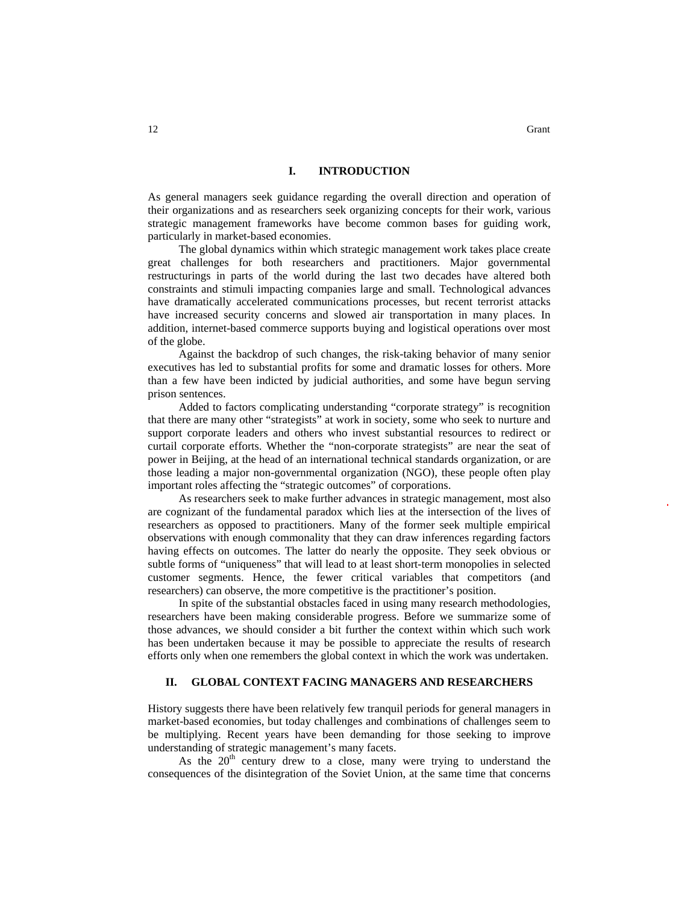### **I. INTRODUCTION**

As general managers seek guidance regarding the overall direction and operation of their organizations and as researchers seek organizing concepts for their work, various strategic management frameworks have become common bases for guiding work, particularly in market-based economies.

The global dynamics within which strategic management work takes place create great challenges for both researchers and practitioners. Major governmental restructurings in parts of the world during the last two decades have altered both constraints and stimuli impacting companies large and small. Technological advances have dramatically accelerated communications processes, but recent terrorist attacks have increased security concerns and slowed air transportation in many places. In addition, internet-based commerce supports buying and logistical operations over most of the globe.

Against the backdrop of such changes, the risk-taking behavior of many senior executives has led to substantial profits for some and dramatic losses for others. More than a few have been indicted by judicial authorities, and some have begun serving prison sentences.

Added to factors complicating understanding "corporate strategy" is recognition that there are many other "strategists" at work in society, some who seek to nurture and support corporate leaders and others who invest substantial resources to redirect or curtail corporate efforts. Whether the "non-corporate strategists" are near the seat of power in Beijing, at the head of an international technical standards organization, or are those leading a major non-governmental organization (NGO), these people often play important roles affecting the "strategic outcomes" of corporations.

As researchers seek to make further advances in strategic management, most also are cognizant of the fundamental paradox which lies at the intersection of the lives of researchers as opposed to practitioners. Many of the former seek multiple empirical observations with enough commonality that they can draw inferences regarding factors having effects on outcomes. The latter do nearly the opposite. They seek obvious or subtle forms of "uniqueness" that will lead to at least short-term monopolies in selected customer segments. Hence, the fewer critical variables that competitors (and researchers) can observe, the more competitive is the practitioner's position.

In spite of the substantial obstacles faced in using many research methodologies, researchers have been making considerable progress. Before we summarize some of those advances, we should consider a bit further the context within which such work has been undertaken because it may be possible to appreciate the results of research efforts only when one remembers the global context in which the work was undertaken.

#### **II. GLOBAL CONTEXT FACING MANAGERS AND RESEARCHERS**

History suggests there have been relatively few tranquil periods for general managers in market-based economies, but today challenges and combinations of challenges seem to be multiplying. Recent years have been demanding for those seeking to improve understanding of strategic management's many facets.

As the  $20<sup>th</sup>$  century drew to a close, many were trying to understand the consequences of the disintegration of the Soviet Union, at the same time that concerns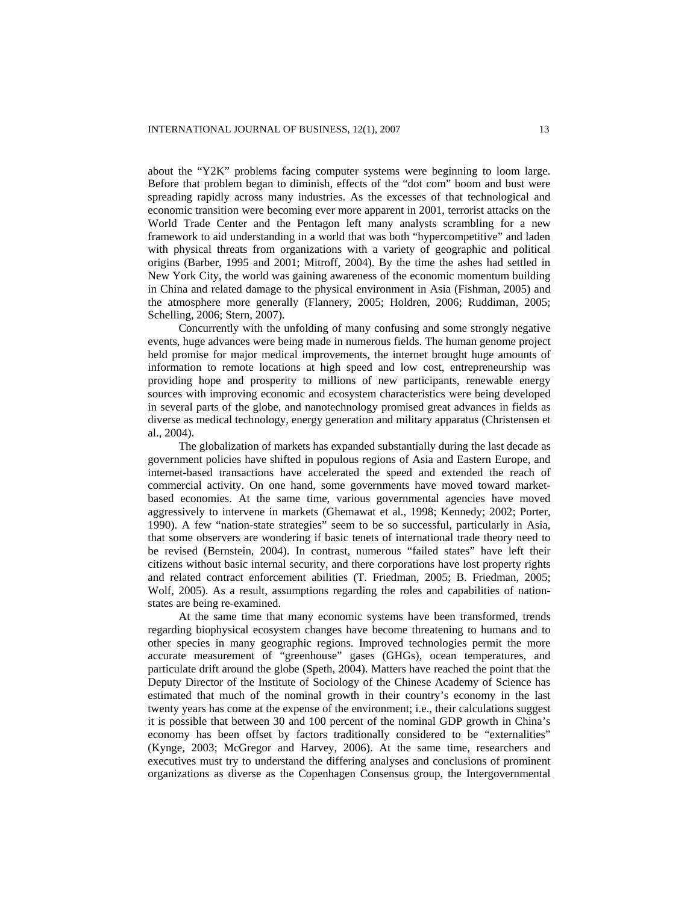about the "Y2K" problems facing computer systems were beginning to loom large. Before that problem began to diminish, effects of the "dot com" boom and bust were spreading rapidly across many industries. As the excesses of that technological and economic transition were becoming ever more apparent in 2001, terrorist attacks on the World Trade Center and the Pentagon left many analysts scrambling for a new framework to aid understanding in a world that was both "hypercompetitive" and laden with physical threats from organizations with a variety of geographic and political origins (Barber, 1995 and 2001; Mitroff, 2004). By the time the ashes had settled in New York City, the world was gaining awareness of the economic momentum building in China and related damage to the physical environment in Asia (Fishman, 2005) and the atmosphere more generally (Flannery, 2005; Holdren, 2006; Ruddiman, 2005; Schelling, 2006; Stern, 2007).

Concurrently with the unfolding of many confusing and some strongly negative events, huge advances were being made in numerous fields. The human genome project held promise for major medical improvements, the internet brought huge amounts of information to remote locations at high speed and low cost, entrepreneurship was providing hope and prosperity to millions of new participants, renewable energy sources with improving economic and ecosystem characteristics were being developed in several parts of the globe, and nanotechnology promised great advances in fields as diverse as medical technology, energy generation and military apparatus (Christensen et al., 2004).

The globalization of markets has expanded substantially during the last decade as government policies have shifted in populous regions of Asia and Eastern Europe, and internet-based transactions have accelerated the speed and extended the reach of commercial activity. On one hand, some governments have moved toward marketbased economies. At the same time, various governmental agencies have moved aggressively to intervene in markets (Ghemawat et al., 1998; Kennedy; 2002; Porter, 1990). A few "nation-state strategies" seem to be so successful, particularly in Asia, that some observers are wondering if basic tenets of international trade theory need to be revised (Bernstein, 2004). In contrast, numerous "failed states" have left their citizens without basic internal security, and there corporations have lost property rights and related contract enforcement abilities (T. Friedman, 2005; B. Friedman, 2005; Wolf, 2005). As a result, assumptions regarding the roles and capabilities of nationstates are being re-examined.

At the same time that many economic systems have been transformed, trends regarding biophysical ecosystem changes have become threatening to humans and to other species in many geographic regions. Improved technologies permit the more accurate measurement of "greenhouse" gases (GHGs), ocean temperatures, and particulate drift around the globe (Speth, 2004). Matters have reached the point that the Deputy Director of the Institute of Sociology of the Chinese Academy of Science has estimated that much of the nominal growth in their country's economy in the last twenty years has come at the expense of the environment; i.e., their calculations suggest it is possible that between 30 and 100 percent of the nominal GDP growth in China's economy has been offset by factors traditionally considered to be "externalities" (Kynge, 2003; McGregor and Harvey, 2006). At the same time, researchers and executives must try to understand the differing analyses and conclusions of prominent organizations as diverse as the Copenhagen Consensus group, the Intergovernmental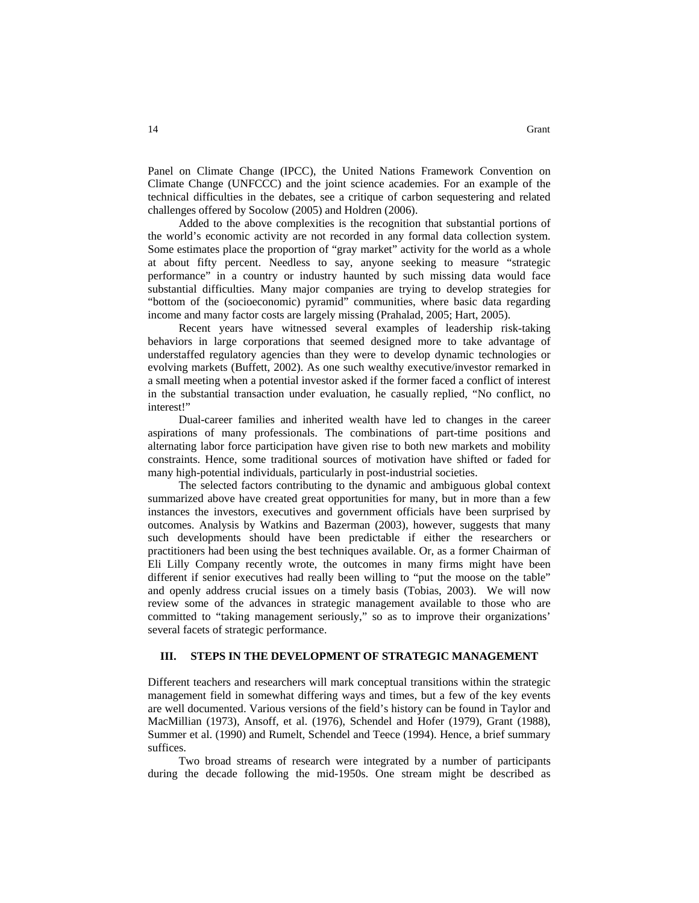Panel on Climate Change (IPCC), the United Nations Framework Convention on Climate Change (UNFCCC) and the joint science academies. For an example of the technical difficulties in the debates, see a critique of carbon sequestering and related challenges offered by Socolow (2005) and Holdren (2006).

Added to the above complexities is the recognition that substantial portions of the world's economic activity are not recorded in any formal data collection system. Some estimates place the proportion of "gray market" activity for the world as a whole at about fifty percent. Needless to say, anyone seeking to measure "strategic performance" in a country or industry haunted by such missing data would face substantial difficulties. Many major companies are trying to develop strategies for "bottom of the (socioeconomic) pyramid" communities, where basic data regarding income and many factor costs are largely missing (Prahalad, 2005; Hart, 2005).

Recent years have witnessed several examples of leadership risk-taking behaviors in large corporations that seemed designed more to take advantage of understaffed regulatory agencies than they were to develop dynamic technologies or evolving markets (Buffett, 2002). As one such wealthy executive/investor remarked in a small meeting when a potential investor asked if the former faced a conflict of interest in the substantial transaction under evaluation, he casually replied, "No conflict, no interest!"

Dual-career families and inherited wealth have led to changes in the career aspirations of many professionals. The combinations of part-time positions and alternating labor force participation have given rise to both new markets and mobility constraints. Hence, some traditional sources of motivation have shifted or faded for many high-potential individuals, particularly in post-industrial societies.

The selected factors contributing to the dynamic and ambiguous global context summarized above have created great opportunities for many, but in more than a few instances the investors, executives and government officials have been surprised by outcomes. Analysis by Watkins and Bazerman (2003), however, suggests that many such developments should have been predictable if either the researchers or practitioners had been using the best techniques available. Or, as a former Chairman of Eli Lilly Company recently wrote, the outcomes in many firms might have been different if senior executives had really been willing to "put the moose on the table" and openly address crucial issues on a timely basis (Tobias, 2003). We will now review some of the advances in strategic management available to those who are committed to "taking management seriously," so as to improve their organizations' several facets of strategic performance.

#### **III. STEPS IN THE DEVELOPMENT OF STRATEGIC MANAGEMENT**

Different teachers and researchers will mark conceptual transitions within the strategic management field in somewhat differing ways and times, but a few of the key events are well documented. Various versions of the field's history can be found in Taylor and MacMillian (1973), Ansoff, et al. (1976), Schendel and Hofer (1979), Grant (1988), Summer et al. (1990) and Rumelt, Schendel and Teece (1994). Hence, a brief summary suffices.

Two broad streams of research were integrated by a number of participants during the decade following the mid-1950s. One stream might be described as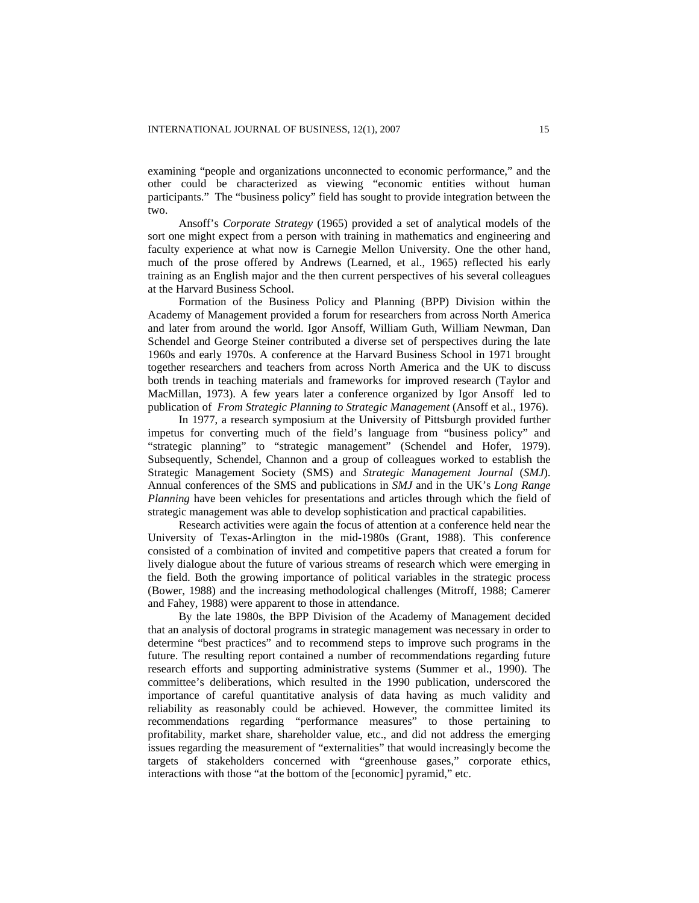examining "people and organizations unconnected to economic performance," and the other could be characterized as viewing "economic entities without human participants." The "business policy" field has sought to provide integration between the two.

Ansoff's *Corporate Strategy* (1965) provided a set of analytical models of the sort one might expect from a person with training in mathematics and engineering and faculty experience at what now is Carnegie Mellon University. One the other hand, much of the prose offered by Andrews (Learned, et al., 1965) reflected his early training as an English major and the then current perspectives of his several colleagues at the Harvard Business School.

Formation of the Business Policy and Planning (BPP) Division within the Academy of Management provided a forum for researchers from across North America and later from around the world. Igor Ansoff, William Guth, William Newman, Dan Schendel and George Steiner contributed a diverse set of perspectives during the late 1960s and early 1970s. A conference at the Harvard Business School in 1971 brought together researchers and teachers from across North America and the UK to discuss both trends in teaching materials and frameworks for improved research (Taylor and MacMillan, 1973). A few years later a conference organized by Igor Ansoff led to publication of *From Strategic Planning to Strategic Management* (Ansoff et al., 1976).

In 1977, a research symposium at the University of Pittsburgh provided further impetus for converting much of the field's language from "business policy" and "strategic planning" to "strategic management" (Schendel and Hofer, 1979). Subsequently, Schendel, Channon and a group of colleagues worked to establish the Strategic Management Society (SMS) and *Strategic Management Journal* (*SMJ*). Annual conferences of the SMS and publications in *SMJ* and in the UK's *Long Range Planning* have been vehicles for presentations and articles through which the field of strategic management was able to develop sophistication and practical capabilities.

Research activities were again the focus of attention at a conference held near the University of Texas-Arlington in the mid-1980s (Grant, 1988). This conference consisted of a combination of invited and competitive papers that created a forum for lively dialogue about the future of various streams of research which were emerging in the field. Both the growing importance of political variables in the strategic process (Bower, 1988) and the increasing methodological challenges (Mitroff, 1988; Camerer and Fahey, 1988) were apparent to those in attendance.

By the late 1980s, the BPP Division of the Academy of Management decided that an analysis of doctoral programs in strategic management was necessary in order to determine "best practices" and to recommend steps to improve such programs in the future. The resulting report contained a number of recommendations regarding future research efforts and supporting administrative systems (Summer et al., 1990). The committee's deliberations, which resulted in the 1990 publication, underscored the importance of careful quantitative analysis of data having as much validity and reliability as reasonably could be achieved. However, the committee limited its recommendations regarding "performance measures" to those pertaining to profitability, market share, shareholder value, etc., and did not address the emerging issues regarding the measurement of "externalities" that would increasingly become the targets of stakeholders concerned with "greenhouse gases," corporate ethics, interactions with those "at the bottom of the [economic] pyramid," etc.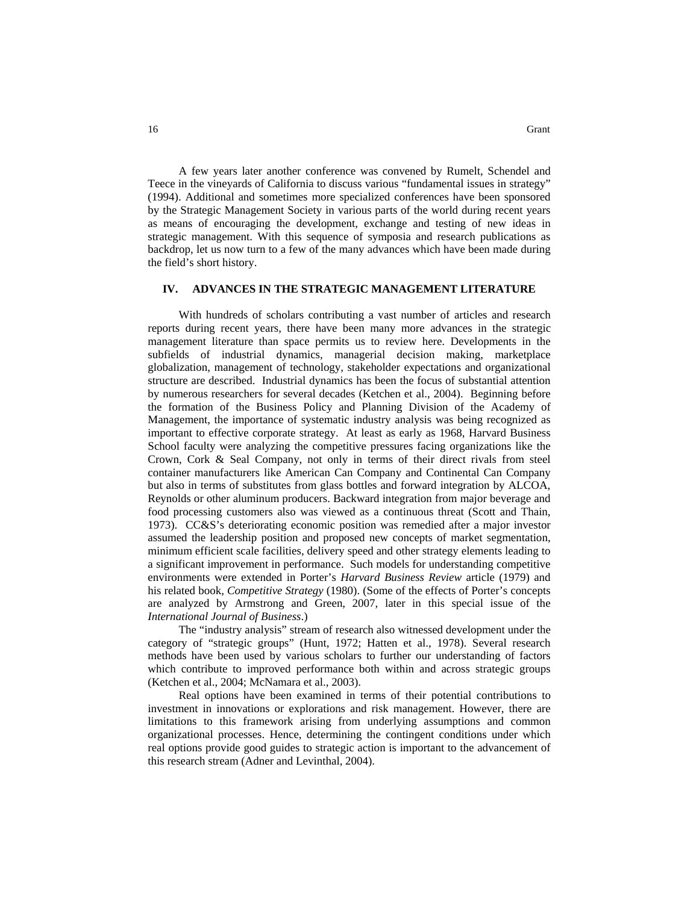A few years later another conference was convened by Rumelt, Schendel and Teece in the vineyards of California to discuss various "fundamental issues in strategy" (1994). Additional and sometimes more specialized conferences have been sponsored by the Strategic Management Society in various parts of the world during recent years as means of encouraging the development, exchange and testing of new ideas in strategic management. With this sequence of symposia and research publications as backdrop, let us now turn to a few of the many advances which have been made during the field's short history.

# **IV. ADVANCES IN THE STRATEGIC MANAGEMENT LITERATURE**

With hundreds of scholars contributing a vast number of articles and research reports during recent years, there have been many more advances in the strategic management literature than space permits us to review here. Developments in the subfields of industrial dynamics, managerial decision making, marketplace globalization, management of technology, stakeholder expectations and organizational structure are described. Industrial dynamics has been the focus of substantial attention by numerous researchers for several decades (Ketchen et al., 2004). Beginning before the formation of the Business Policy and Planning Division of the Academy of Management, the importance of systematic industry analysis was being recognized as important to effective corporate strategy. At least as early as 1968, Harvard Business School faculty were analyzing the competitive pressures facing organizations like the Crown, Cork & Seal Company, not only in terms of their direct rivals from steel container manufacturers like American Can Company and Continental Can Company but also in terms of substitutes from glass bottles and forward integration by ALCOA, Reynolds or other aluminum producers. Backward integration from major beverage and food processing customers also was viewed as a continuous threat (Scott and Thain, 1973). CC&S's deteriorating economic position was remedied after a major investor assumed the leadership position and proposed new concepts of market segmentation, minimum efficient scale facilities, delivery speed and other strategy elements leading to a significant improvement in performance. Such models for understanding competitive environments were extended in Porter's *Harvard Business Review* article (1979) and his related book, *Competitive Strategy* (1980). (Some of the effects of Porter's concepts are analyzed by Armstrong and Green, 2007, later in this special issue of the *International Journal of Business*.)

The "industry analysis" stream of research also witnessed development under the category of "strategic groups" (Hunt, 1972; Hatten et al., 1978). Several research methods have been used by various scholars to further our understanding of factors which contribute to improved performance both within and across strategic groups (Ketchen et al., 2004; McNamara et al., 2003).

Real options have been examined in terms of their potential contributions to investment in innovations or explorations and risk management. However, there are limitations to this framework arising from underlying assumptions and common organizational processes. Hence, determining the contingent conditions under which real options provide good guides to strategic action is important to the advancement of this research stream (Adner and Levinthal, 2004).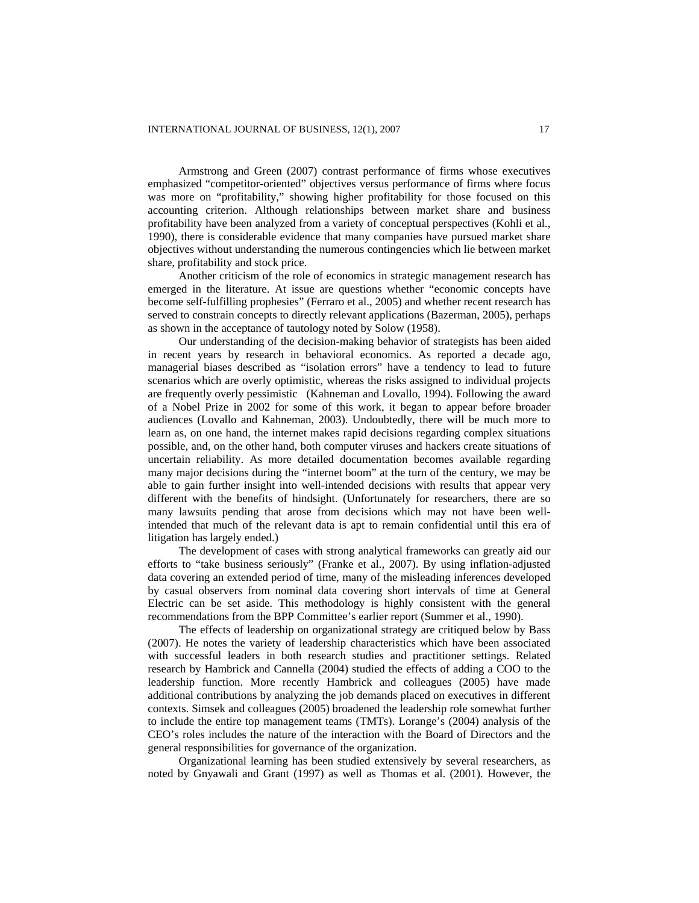Armstrong and Green (2007) contrast performance of firms whose executives emphasized "competitor-oriented" objectives versus performance of firms where focus was more on "profitability," showing higher profitability for those focused on this accounting criterion. Although relationships between market share and business profitability have been analyzed from a variety of conceptual perspectives (Kohli et al., 1990), there is considerable evidence that many companies have pursued market share objectives without understanding the numerous contingencies which lie between market share, profitability and stock price.

Another criticism of the role of economics in strategic management research has emerged in the literature. At issue are questions whether "economic concepts have become self-fulfilling prophesies" (Ferraro et al., 2005) and whether recent research has served to constrain concepts to directly relevant applications (Bazerman, 2005), perhaps as shown in the acceptance of tautology noted by Solow (1958).

Our understanding of the decision-making behavior of strategists has been aided in recent years by research in behavioral economics. As reported a decade ago, managerial biases described as "isolation errors" have a tendency to lead to future scenarios which are overly optimistic, whereas the risks assigned to individual projects are frequently overly pessimistic (Kahneman and Lovallo, 1994). Following the award of a Nobel Prize in 2002 for some of this work, it began to appear before broader audiences (Lovallo and Kahneman, 2003). Undoubtedly, there will be much more to learn as, on one hand, the internet makes rapid decisions regarding complex situations possible, and, on the other hand, both computer viruses and hackers create situations of uncertain reliability. As more detailed documentation becomes available regarding many major decisions during the "internet boom" at the turn of the century, we may be able to gain further insight into well-intended decisions with results that appear very different with the benefits of hindsight. (Unfortunately for researchers, there are so many lawsuits pending that arose from decisions which may not have been wellintended that much of the relevant data is apt to remain confidential until this era of litigation has largely ended.)

The development of cases with strong analytical frameworks can greatly aid our efforts to "take business seriously" (Franke et al., 2007). By using inflation-adjusted data covering an extended period of time, many of the misleading inferences developed by casual observers from nominal data covering short intervals of time at General Electric can be set aside. This methodology is highly consistent with the general recommendations from the BPP Committee's earlier report (Summer et al., 1990).

The effects of leadership on organizational strategy are critiqued below by Bass (2007). He notes the variety of leadership characteristics which have been associated with successful leaders in both research studies and practitioner settings. Related research by Hambrick and Cannella (2004) studied the effects of adding a COO to the leadership function. More recently Hambrick and colleagues (2005) have made additional contributions by analyzing the job demands placed on executives in different contexts. Simsek and colleagues (2005) broadened the leadership role somewhat further to include the entire top management teams (TMTs). Lorange's (2004) analysis of the CEO's roles includes the nature of the interaction with the Board of Directors and the general responsibilities for governance of the organization.

Organizational learning has been studied extensively by several researchers, as noted by Gnyawali and Grant (1997) as well as Thomas et al. (2001). However, the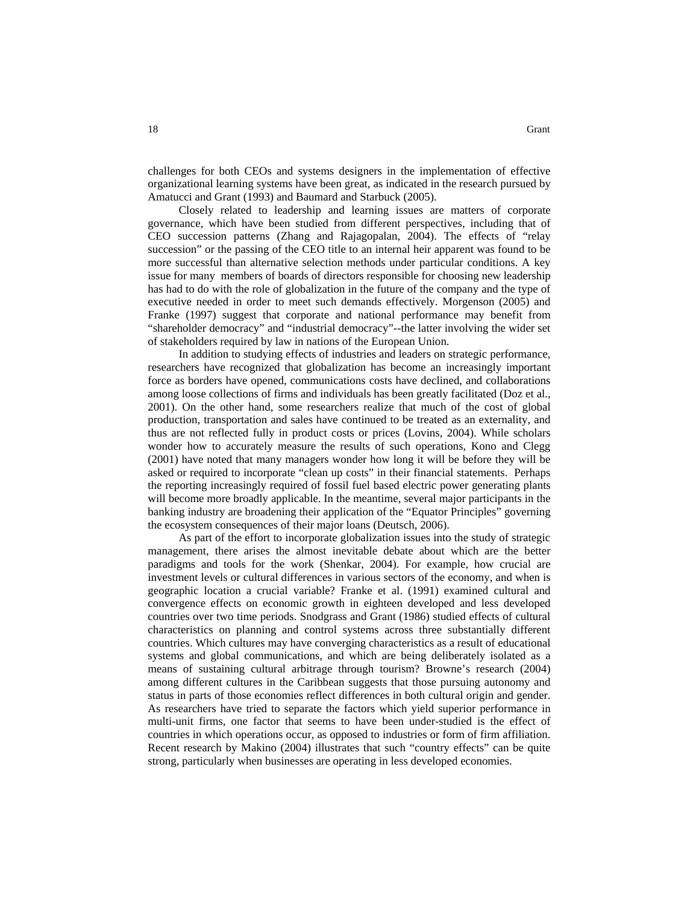challenges for both CEOs and systems designers in the implementation of effective organizational learning systems have been great, as indicated in the research pursued by Amatucci and Grant (1993) and Baumard and Starbuck (2005).

Closely related to leadership and learning issues are matters of corporate governance, which have been studied from different perspectives, including that of CEO succession patterns (Zhang and Rajagopalan, 2004). The effects of "relay succession" or the passing of the CEO title to an internal heir apparent was found to be more successful than alternative selection methods under particular conditions. A key issue for many members of boards of directors responsible for choosing new leadership has had to do with the role of globalization in the future of the company and the type of executive needed in order to meet such demands effectively. Morgenson (2005) and Franke (1997) suggest that corporate and national performance may benefit from "shareholder democracy" and "industrial democracy"--the latter involving the wider set of stakeholders required by law in nations of the European Union.

In addition to studying effects of industries and leaders on strategic performance, researchers have recognized that globalization has become an increasingly important force as borders have opened, communications costs have declined, and collaborations among loose collections of firms and individuals has been greatly facilitated (Doz et al., 2001). On the other hand, some researchers realize that much of the cost of global production, transportation and sales have continued to be treated as an externality, and thus are not reflected fully in product costs or prices (Lovins, 2004). While scholars wonder how to accurately measure the results of such operations, Kono and Clegg (2001) have noted that many managers wonder how long it will be before they will be asked or required to incorporate "clean up costs" in their financial statements. Perhaps the reporting increasingly required of fossil fuel based electric power generating plants will become more broadly applicable. In the meantime, several major participants in the banking industry are broadening their application of the "Equator Principles" governing the ecosystem consequences of their major loans (Deutsch, 2006).

As part of the effort to incorporate globalization issues into the study of strategic management, there arises the almost inevitable debate about which are the better paradigms and tools for the work (Shenkar, 2004). For example, how crucial are investment levels or cultural differences in various sectors of the economy, and when is geographic location a crucial variable? Franke et al. (1991) examined cultural and convergence effects on economic growth in eighteen developed and less developed countries over two time periods. Snodgrass and Grant (1986) studied effects of cultural characteristics on planning and control systems across three substantially different countries. Which cultures may have converging characteristics as a result of educational systems and global communications, and which are being deliberately isolated as a means of sustaining cultural arbitrage through tourism? Browne's research (2004) among different cultures in the Caribbean suggests that those pursuing autonomy and status in parts of those economies reflect differences in both cultural origin and gender. As researchers have tried to separate the factors which yield superior performance in multi-unit firms, one factor that seems to have been under-studied is the effect of countries in which operations occur, as opposed to industries or form of firm affiliation. Recent research by Makino (2004) illustrates that such "country effects" can be quite strong, particularly when businesses are operating in less developed economies.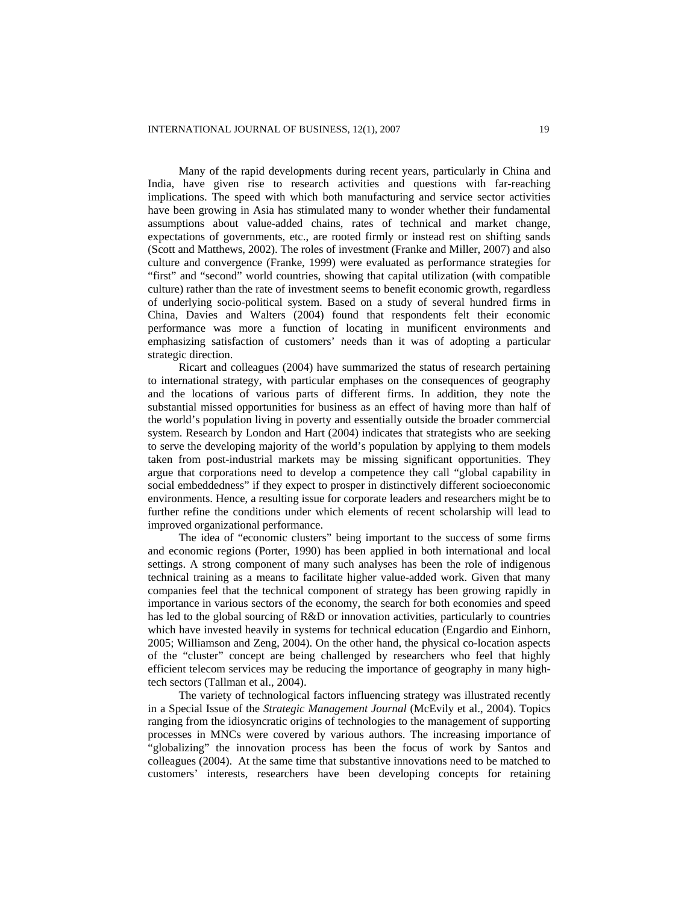Many of the rapid developments during recent years, particularly in China and India, have given rise to research activities and questions with far-reaching implications. The speed with which both manufacturing and service sector activities have been growing in Asia has stimulated many to wonder whether their fundamental assumptions about value-added chains, rates of technical and market change, expectations of governments, etc., are rooted firmly or instead rest on shifting sands (Scott and Matthews, 2002). The roles of investment (Franke and Miller, 2007) and also culture and convergence (Franke, 1999) were evaluated as performance strategies for "first" and "second" world countries, showing that capital utilization (with compatible culture) rather than the rate of investment seems to benefit economic growth, regardless of underlying socio-political system. Based on a study of several hundred firms in China, Davies and Walters (2004) found that respondents felt their economic performance was more a function of locating in munificent environments and emphasizing satisfaction of customers' needs than it was of adopting a particular strategic direction.

Ricart and colleagues (2004) have summarized the status of research pertaining to international strategy, with particular emphases on the consequences of geography and the locations of various parts of different firms. In addition, they note the substantial missed opportunities for business as an effect of having more than half of the world's population living in poverty and essentially outside the broader commercial system. Research by London and Hart (2004) indicates that strategists who are seeking to serve the developing majority of the world's population by applying to them models taken from post-industrial markets may be missing significant opportunities. They argue that corporations need to develop a competence they call "global capability in social embeddedness" if they expect to prosper in distinctively different socioeconomic environments. Hence, a resulting issue for corporate leaders and researchers might be to further refine the conditions under which elements of recent scholarship will lead to improved organizational performance.

The idea of "economic clusters" being important to the success of some firms and economic regions (Porter, 1990) has been applied in both international and local settings. A strong component of many such analyses has been the role of indigenous technical training as a means to facilitate higher value-added work. Given that many companies feel that the technical component of strategy has been growing rapidly in importance in various sectors of the economy, the search for both economies and speed has led to the global sourcing of R&D or innovation activities, particularly to countries which have invested heavily in systems for technical education (Engardio and Einhorn, 2005; Williamson and Zeng, 2004). On the other hand, the physical co-location aspects of the "cluster" concept are being challenged by researchers who feel that highly efficient telecom services may be reducing the importance of geography in many hightech sectors (Tallman et al., 2004).

The variety of technological factors influencing strategy was illustrated recently in a Special Issue of the *Strategic Management Journal* (McEvily et al., 2004). Topics ranging from the idiosyncratic origins of technologies to the management of supporting processes in MNCs were covered by various authors. The increasing importance of "globalizing" the innovation process has been the focus of work by Santos and colleagues (2004). At the same time that substantive innovations need to be matched to customers' interests, researchers have been developing concepts for retaining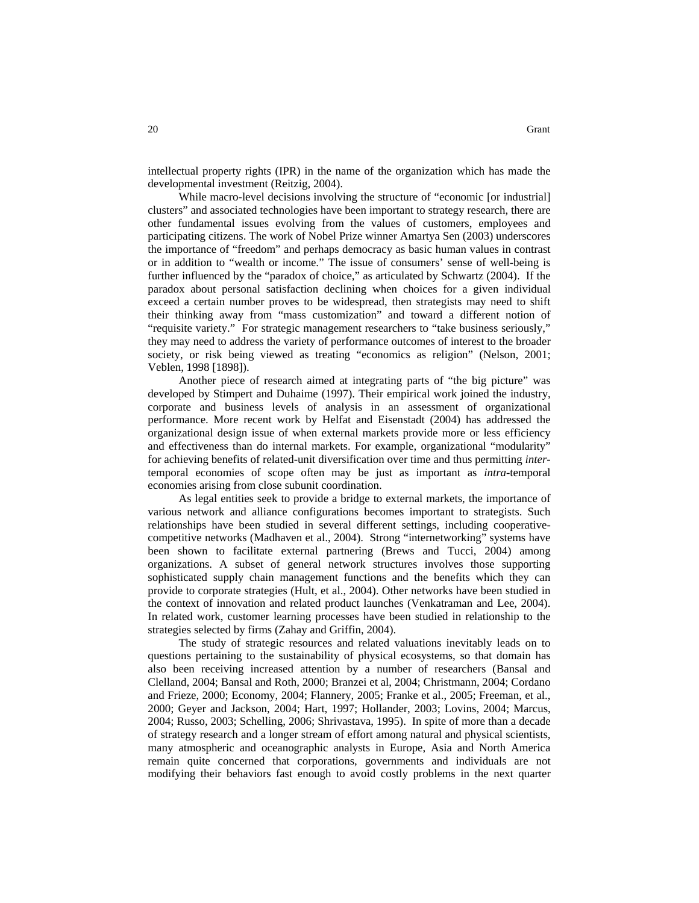intellectual property rights (IPR) in the name of the organization which has made the developmental investment (Reitzig, 2004).

While macro-level decisions involving the structure of "economic [or industrial] clusters" and associated technologies have been important to strategy research, there are other fundamental issues evolving from the values of customers, employees and participating citizens. The work of Nobel Prize winner Amartya Sen (2003) underscores the importance of "freedom" and perhaps democracy as basic human values in contrast or in addition to "wealth or income." The issue of consumers' sense of well-being is further influenced by the "paradox of choice," as articulated by Schwartz (2004). If the paradox about personal satisfaction declining when choices for a given individual exceed a certain number proves to be widespread, then strategists may need to shift their thinking away from "mass customization" and toward a different notion of "requisite variety." For strategic management researchers to "take business seriously," they may need to address the variety of performance outcomes of interest to the broader society, or risk being viewed as treating "economics as religion" (Nelson, 2001; Veblen, 1998 [1898]).

Another piece of research aimed at integrating parts of "the big picture" was developed by Stimpert and Duhaime (1997). Their empirical work joined the industry, corporate and business levels of analysis in an assessment of organizational performance. More recent work by Helfat and Eisenstadt (2004) has addressed the organizational design issue of when external markets provide more or less efficiency and effectiveness than do internal markets. For example, organizational "modularity" for achieving benefits of related-unit diversification over time and thus permitting *inter*temporal economies of scope often may be just as important as *intra*-temporal economies arising from close subunit coordination.

As legal entities seek to provide a bridge to external markets, the importance of various network and alliance configurations becomes important to strategists. Such relationships have been studied in several different settings, including cooperativecompetitive networks (Madhaven et al., 2004). Strong "internetworking" systems have been shown to facilitate external partnering (Brews and Tucci, 2004) among organizations. A subset of general network structures involves those supporting sophisticated supply chain management functions and the benefits which they can provide to corporate strategies (Hult, et al., 2004). Other networks have been studied in the context of innovation and related product launches (Venkatraman and Lee, 2004). In related work, customer learning processes have been studied in relationship to the strategies selected by firms (Zahay and Griffin, 2004).

The study of strategic resources and related valuations inevitably leads on to questions pertaining to the sustainability of physical ecosystems, so that domain has also been receiving increased attention by a number of researchers (Bansal and Clelland, 2004; Bansal and Roth, 2000; Branzei et al, 2004; Christmann, 2004; Cordano and Frieze, 2000; Economy, 2004; Flannery, 2005; Franke et al., 2005; Freeman, et al., 2000; Geyer and Jackson, 2004; Hart, 1997; Hollander, 2003; Lovins, 2004; Marcus, 2004; Russo, 2003; Schelling, 2006; Shrivastava, 1995). In spite of more than a decade of strategy research and a longer stream of effort among natural and physical scientists, many atmospheric and oceanographic analysts in Europe, Asia and North America remain quite concerned that corporations, governments and individuals are not modifying their behaviors fast enough to avoid costly problems in the next quarter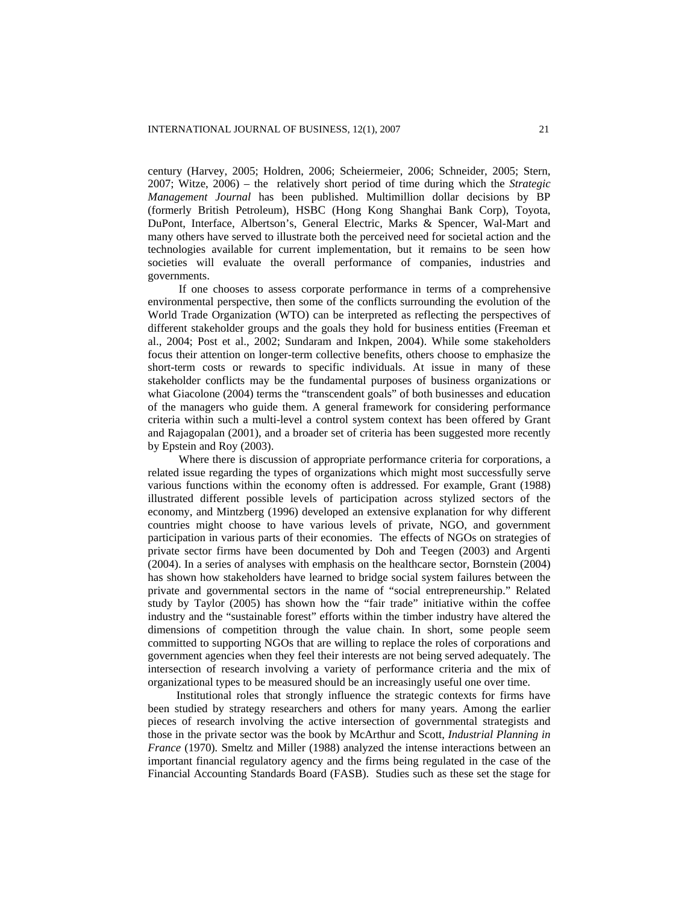century (Harvey, 2005; Holdren, 2006; Scheiermeier, 2006; Schneider, 2005; Stern, 2007; Witze, 2006) – the relatively short period of time during which the *Strategic Management Journal* has been published. Multimillion dollar decisions by BP (formerly British Petroleum), HSBC (Hong Kong Shanghai Bank Corp), Toyota, DuPont, Interface, Albertson's, General Electric, Marks & Spencer, Wal-Mart and many others have served to illustrate both the perceived need for societal action and the technologies available for current implementation, but it remains to be seen how societies will evaluate the overall performance of companies, industries and governments.

If one chooses to assess corporate performance in terms of a comprehensive environmental perspective, then some of the conflicts surrounding the evolution of the World Trade Organization (WTO) can be interpreted as reflecting the perspectives of different stakeholder groups and the goals they hold for business entities (Freeman et al., 2004; Post et al., 2002; Sundaram and Inkpen, 2004). While some stakeholders focus their attention on longer-term collective benefits, others choose to emphasize the short-term costs or rewards to specific individuals. At issue in many of these stakeholder conflicts may be the fundamental purposes of business organizations or what Giacolone (2004) terms the "transcendent goals" of both businesses and education of the managers who guide them. A general framework for considering performance criteria within such a multi-level a control system context has been offered by Grant and Rajagopalan (2001), and a broader set of criteria has been suggested more recently by Epstein and Roy (2003).

Where there is discussion of appropriate performance criteria for corporations, a related issue regarding the types of organizations which might most successfully serve various functions within the economy often is addressed. For example, Grant (1988) illustrated different possible levels of participation across stylized sectors of the economy, and Mintzberg (1996) developed an extensive explanation for why different countries might choose to have various levels of private, NGO, and government participation in various parts of their economies. The effects of NGOs on strategies of private sector firms have been documented by Doh and Teegen (2003) and Argenti (2004). In a series of analyses with emphasis on the healthcare sector, Bornstein (2004) has shown how stakeholders have learned to bridge social system failures between the private and governmental sectors in the name of "social entrepreneurship." Related study by Taylor (2005) has shown how the "fair trade" initiative within the coffee industry and the "sustainable forest" efforts within the timber industry have altered the dimensions of competition through the value chain. In short, some people seem committed to supporting NGOs that are willing to replace the roles of corporations and government agencies when they feel their interests are not being served adequately. The intersection of research involving a variety of performance criteria and the mix of organizational types to be measured should be an increasingly useful one over time.

Institutional roles that strongly influence the strategic contexts for firms have been studied by strategy researchers and others for many years. Among the earlier pieces of research involving the active intersection of governmental strategists and those in the private sector was the book by McArthur and Scott, *Industrial Planning in France* (1970)*.* Smeltz and Miller (1988) analyzed the intense interactions between an important financial regulatory agency and the firms being regulated in the case of the Financial Accounting Standards Board (FASB). Studies such as these set the stage for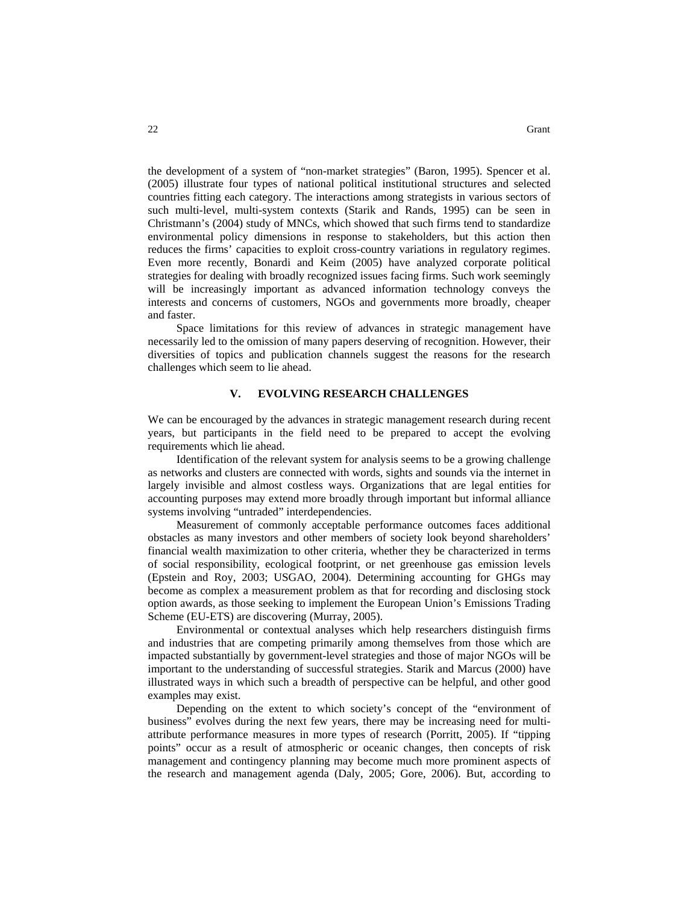the development of a system of "non-market strategies" (Baron, 1995). Spencer et al. (2005) illustrate four types of national political institutional structures and selected countries fitting each category. The interactions among strategists in various sectors of such multi-level, multi-system contexts (Starik and Rands, 1995) can be seen in Christmann's (2004) study of MNCs, which showed that such firms tend to standardize environmental policy dimensions in response to stakeholders, but this action then reduces the firms' capacities to exploit cross-country variations in regulatory regimes. Even more recently, Bonardi and Keim (2005) have analyzed corporate political strategies for dealing with broadly recognized issues facing firms. Such work seemingly will be increasingly important as advanced information technology conveys the interests and concerns of customers, NGOs and governments more broadly, cheaper and faster.

Space limitations for this review of advances in strategic management have necessarily led to the omission of many papers deserving of recognition. However, their diversities of topics and publication channels suggest the reasons for the research challenges which seem to lie ahead.

#### **V. EVOLVING RESEARCH CHALLENGES**

We can be encouraged by the advances in strategic management research during recent years, but participants in the field need to be prepared to accept the evolving requirements which lie ahead.

Identification of the relevant system for analysis seems to be a growing challenge as networks and clusters are connected with words, sights and sounds via the internet in largely invisible and almost costless ways. Organizations that are legal entities for accounting purposes may extend more broadly through important but informal alliance systems involving "untraded" interdependencies.

Measurement of commonly acceptable performance outcomes faces additional obstacles as many investors and other members of society look beyond shareholders' financial wealth maximization to other criteria, whether they be characterized in terms of social responsibility, ecological footprint, or net greenhouse gas emission levels (Epstein and Roy, 2003; USGAO, 2004). Determining accounting for GHGs may become as complex a measurement problem as that for recording and disclosing stock option awards, as those seeking to implement the European Union's Emissions Trading Scheme (EU-ETS) are discovering (Murray, 2005).

Environmental or contextual analyses which help researchers distinguish firms and industries that are competing primarily among themselves from those which are impacted substantially by government-level strategies and those of major NGOs will be important to the understanding of successful strategies. Starik and Marcus (2000) have illustrated ways in which such a breadth of perspective can be helpful, and other good examples may exist.

Depending on the extent to which society's concept of the "environment of business" evolves during the next few years, there may be increasing need for multiattribute performance measures in more types of research (Porritt, 2005). If "tipping points" occur as a result of atmospheric or oceanic changes, then concepts of risk management and contingency planning may become much more prominent aspects of the research and management agenda (Daly, 2005; Gore, 2006). But, according to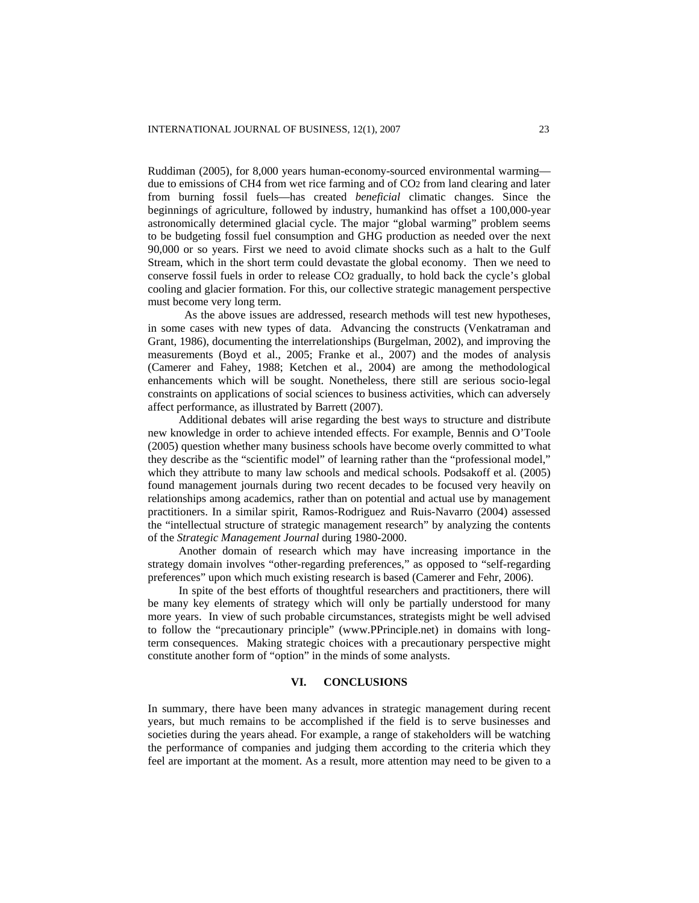Ruddiman (2005), for 8,000 years human-economy-sourced environmental warming due to emissions of CH4 from wet rice farming and of CO2 from land clearing and later from burning fossil fuels—has created *beneficial* climatic changes. Since the beginnings of agriculture, followed by industry, humankind has offset a 100,000-year astronomically determined glacial cycle. The major "global warming" problem seems to be budgeting fossil fuel consumption and GHG production as needed over the next 90,000 or so years. First we need to avoid climate shocks such as a halt to the Gulf Stream, which in the short term could devastate the global economy. Then we need to conserve fossil fuels in order to release CO2 gradually, to hold back the cycle's global cooling and glacier formation. For this, our collective strategic management perspective must become very long term.

 As the above issues are addressed, research methods will test new hypotheses, in some cases with new types of data. Advancing the constructs (Venkatraman and Grant, 1986), documenting the interrelationships (Burgelman, 2002), and improving the measurements (Boyd et al., 2005; Franke et al., 2007) and the modes of analysis (Camerer and Fahey, 1988; Ketchen et al., 2004) are among the methodological enhancements which will be sought. Nonetheless, there still are serious socio-legal constraints on applications of social sciences to business activities, which can adversely affect performance, as illustrated by Barrett (2007).

Additional debates will arise regarding the best ways to structure and distribute new knowledge in order to achieve intended effects. For example, Bennis and O'Toole (2005) question whether many business schools have become overly committed to what they describe as the "scientific model" of learning rather than the "professional model," which they attribute to many law schools and medical schools. Podsakoff et al. (2005) found management journals during two recent decades to be focused very heavily on relationships among academics, rather than on potential and actual use by management practitioners. In a similar spirit, Ramos-Rodriguez and Ruis-Navarro (2004) assessed the "intellectual structure of strategic management research" by analyzing the contents of the *Strategic Management Journal* during 1980-2000.

Another domain of research which may have increasing importance in the strategy domain involves "other-regarding preferences," as opposed to "self-regarding preferences" upon which much existing research is based (Camerer and Fehr, 2006).

In spite of the best efforts of thoughtful researchers and practitioners, there will be many key elements of strategy which will only be partially understood for many more years. In view of such probable circumstances, strategists might be well advised to follow the "precautionary principle" [\(www.PPrinciple.net\)](http://www.pprinciple.net/) in domains with longterm consequences. Making strategic choices with a precautionary perspective might constitute another form of "option" in the minds of some analysts.

#### **VI. CONCLUSIONS**

In summary, there have been many advances in strategic management during recent years, but much remains to be accomplished if the field is to serve businesses and societies during the years ahead. For example, a range of stakeholders will be watching the performance of companies and judging them according to the criteria which they feel are important at the moment. As a result, more attention may need to be given to a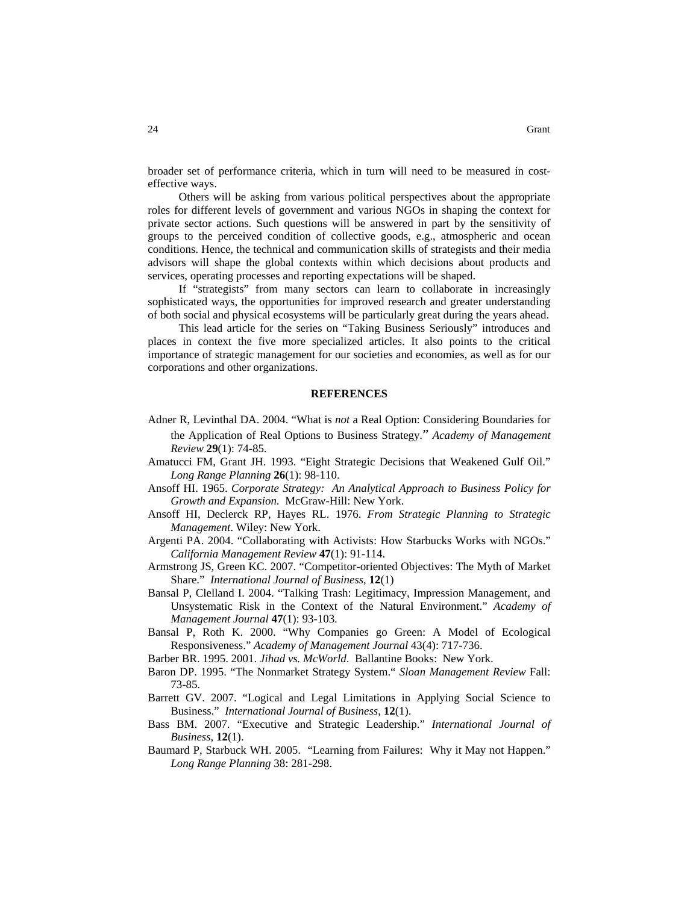broader set of performance criteria, which in turn will need to be measured in costeffective ways.

Others will be asking from various political perspectives about the appropriate roles for different levels of government and various NGOs in shaping the context for private sector actions. Such questions will be answered in part by the sensitivity of groups to the perceived condition of collective goods, e.g., atmospheric and ocean conditions. Hence, the technical and communication skills of strategists and their media advisors will shape the global contexts within which decisions about products and services, operating processes and reporting expectations will be shaped.

If "strategists" from many sectors can learn to collaborate in increasingly sophisticated ways, the opportunities for improved research and greater understanding of both social and physical ecosystems will be particularly great during the years ahead.

This lead article for the series on "Taking Business Seriously" introduces and places in context the five more specialized articles. It also points to the critical importance of strategic management for our societies and economies, as well as for our corporations and other organizations.

#### **REFERENCES**

- Adner R, Levinthal DA. 2004. "What is *not* a Real Option: Considering Boundaries for the Application of Real Options to Business Strategy." *Academy of Management Review* **29**(1): 74-85.
- Amatucci FM, Grant JH. 1993. "Eight Strategic Decisions that Weakened Gulf Oil." *Long Range Planning* **26**(1): 98-110.
- Ansoff HI. 1965. *Corporate Strategy: An Analytical Approach to Business Policy for Growth and Expansion*. McGraw-Hill: New York.
- Ansoff HI, Declerck RP, Hayes RL. 1976. *From Strategic Planning to Strategic Management*. Wiley: New York.
- Argenti PA. 2004. "Collaborating with Activists: How Starbucks Works with NGOs." *California Management Review* **47**(1): 91-114.
- Armstrong JS, Green KC. 2007. "Competitor-oriented Objectives: The Myth of Market Share." *International Journal of Business*, **12**(1)
- Bansal P, Clelland I. 2004. "Talking Trash: Legitimacy, Impression Management, and Unsystematic Risk in the Context of the Natural Environment." *Academy of Management Journal* **47**(1): 93-103.
- Bansal P, Roth K. 2000. "Why Companies go Green: A Model of Ecological Responsiveness." *Academy of Management Journal* 43(4): 717-736.
- Barber BR. 1995. 2001. *Jihad vs. McWorld*. Ballantine Books: New York.
- Baron DP. 1995. "The Nonmarket Strategy System." *Sloan Management Review* Fall: 73-85.
- Barrett GV. 2007. "Logical and Legal Limitations in Applying Social Science to Business." *International Journal of Business*, **12**(1).
- Bass BM. 2007. "Executive and Strategic Leadership." *International Journal of Business*, **12**(1).
- Baumard P, Starbuck WH. 2005. "Learning from Failures: Why it May not Happen." *Long Range Planning* 38: 281-298.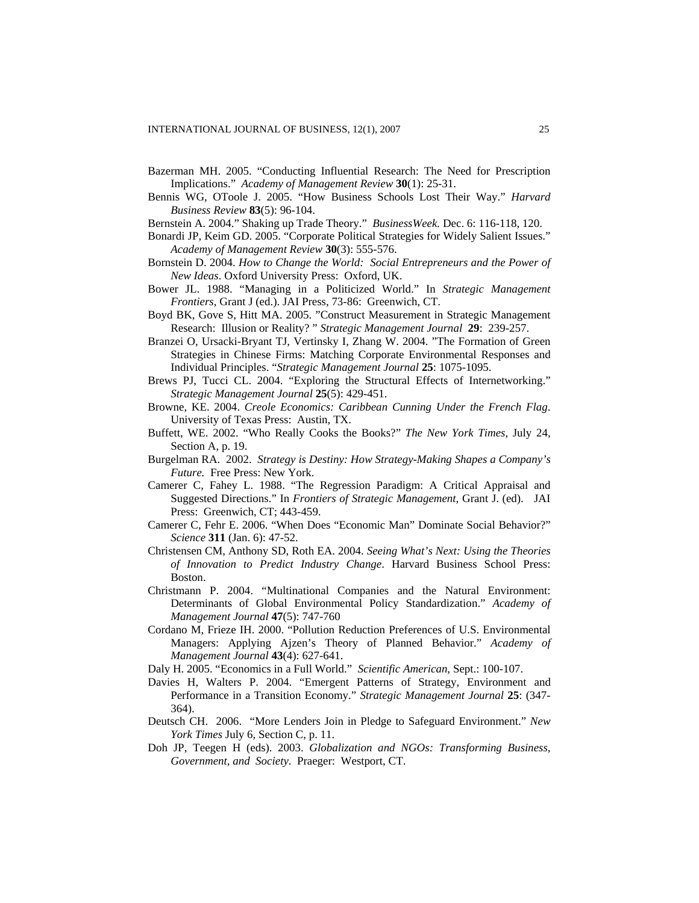- Bazerman MH. 2005. "Conducting Influential Research: The Need for Prescription Implications." *Academy of Management Review* **30**(1): 25-31.
- Bennis WG, OToole J. 2005. "How Business Schools Lost Their Way." *Harvard Business Review* **83**(5): 96-104.
- Bernstein A. 2004." Shaking up Trade Theory." *BusinessWeek.* Dec. 6: 116-118, 120.
- Bonardi JP, Keim GD. 2005. "Corporate Political Strategies for Widely Salient Issues." *Academy of Management Review* **30**(3): 555-576.
- Bornstein D. 2004. *How to Change the World: Social Entrepreneurs and the Power of New Ideas*. Oxford University Press: Oxford, UK.
- Bower JL. 1988. "Managing in a Politicized World." In *Strategic Management Frontiers*, Grant J (ed.). JAI Press, 73-86: Greenwich, CT.
- Boyd BK, Gove S, Hitt MA. 2005. "Construct Measurement in Strategic Management Research: Illusion or Reality? " *Strategic Management Journal* **29**: 239-257.
- Branzei O, Ursacki-Bryant TJ, Vertinsky I, Zhang W. 2004. "The Formation of Green Strategies in Chinese Firms: Matching Corporate Environmental Responses and Individual Principles. "*Strategic Management Journal* **25**: 1075-1095.
- Brews PJ, Tucci CL. 2004. "Exploring the Structural Effects of Internetworking." *Strategic Management Journal* **25**(5): 429-451.
- Browne, KE. 2004. *Creole Economics: Caribbean Cunning Under the French Flag*. University of Texas Press: Austin, TX.
- Buffett, WE. 2002. "Who Really Cooks the Books?" *The New York Times*, July 24, Section A, p. 19.
- Burgelman RA. 2002. *Strategy is Destiny: How Strategy-Making Shapes a Company's Future.* Free Press: New York.
- Camerer C, Fahey L. 1988. "The Regression Paradigm: A Critical Appraisal and Suggested Directions." In *Frontiers of Strategic Management*, Grant J. (ed). JAI Press: Greenwich, CT; 443-459.
- Camerer C, Fehr E. 2006. "When Does "Economic Man" Dominate Social Behavior?" *Science* **311** (Jan. 6): 47-52.
- Christensen CM, Anthony SD, Roth EA. 2004. *Seeing What's Next: Using the Theories of Innovation to Predict Industry Change*. Harvard Business School Press: Boston.
- Christmann P. 2004. "Multinational Companies and the Natural Environment: Determinants of Global Environmental Policy Standardization." *Academy of Management Journal* **47**(5): 747-760
- Cordano M, Frieze IH. 2000. "Pollution Reduction Preferences of U.S. Environmental Managers: Applying Ajzen's Theory of Planned Behavior." *Academy of Management Journal* **43**(4): 627-641.
- Daly H. 2005. "Economics in a Full World." *Scientific American*, Sept.: 100-107.
- Davies H, Walters P. 2004. "Emergent Patterns of Strategy, Environment and Performance in a Transition Economy." *Strategic Management Journal* **25**: (347- 364).
- Deutsch CH. 2006. "More Lenders Join in Pledge to Safeguard Environment." *New York Times* July 6, Section C, p. 11.
- Doh JP, Teegen H (eds). 2003. *Globalization and NGOs: Transforming Business, Government, and Society*. Praeger: Westport, CT.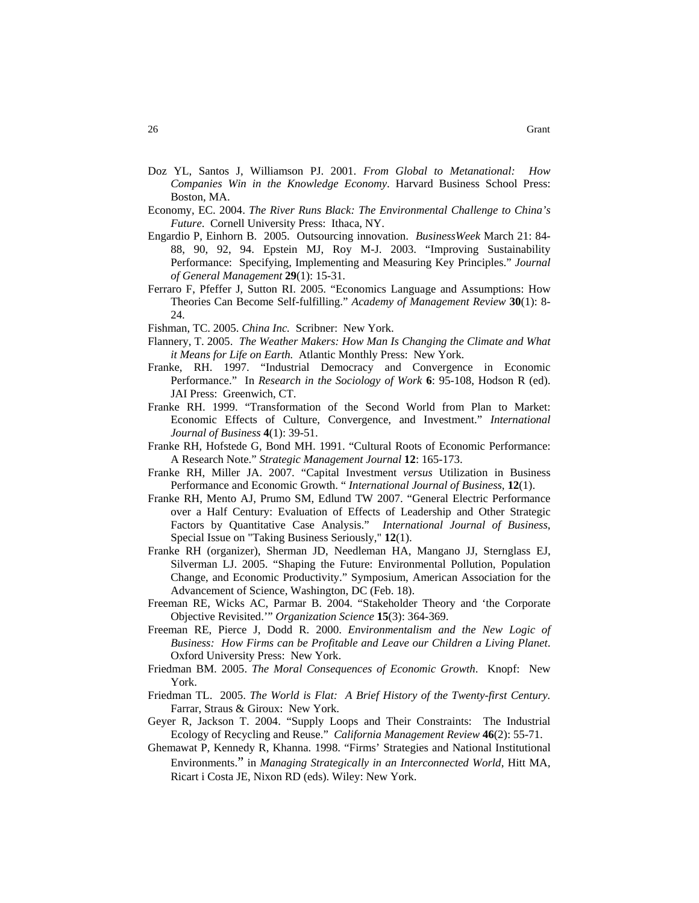- Doz YL, Santos J, Williamson PJ. 2001. *From Global to Metanational: How Companies Win in the Knowledge Economy*. Harvard Business School Press: Boston, MA.
- Economy, EC. 2004. *The River Runs Black: The Environmental Challenge to China's Future*. Cornell University Press: Ithaca, NY.
- Engardio P, Einhorn B. 2005. Outsourcing innovation. *BusinessWeek* March 21: 84- 88, 90, 92, 94. Epstein MJ, Roy M-J. 2003. "Improving Sustainability Performance: Specifying, Implementing and Measuring Key Principles." *Journal of General Management* **29**(1): 15-31.
- Ferraro F, Pfeffer J, Sutton RI. 2005. "Economics Language and Assumptions: How Theories Can Become Self-fulfilling." *Academy of Management Review* **30**(1): 8- 24.

Fishman, TC. 2005. *China Inc.* Scribner: New York.

- Flannery, T. 2005. *The Weather Makers: How Man Is Changing the Climate and What it Means for Life on Earth.* Atlantic Monthly Press: New York.
- Franke, RH. 1997. "Industrial Democracy and Convergence in Economic Performance." In *Research in the Sociology of Work* **6**: 95-108, Hodson R (ed). JAI Press: Greenwich, CT.
- Franke RH. 1999. "Transformation of the Second World from Plan to Market: Economic Effects of Culture, Convergence, and Investment." *International Journal of Business* **4**(1): 39-51.
- Franke RH, Hofstede G, Bond MH. 1991. "Cultural Roots of Economic Performance: A Research Note." *Strategic Management Journal* **12**: 165-173.
- Franke RH, Miller JA. 2007. "Capital Investment *versus* Utilization in Business Performance and Economic Growth. " *International Journal of Business*, **12**(1).
- Franke RH, Mento AJ, Prumo SM, Edlund TW 2007. "General Electric Performance over a Half Century: Evaluation of Effects of Leadership and Other Strategic Factors by Quantitative Case Analysis." *International Journal of Business*, Special Issue on "Taking Business Seriously," **12**(1).
- Franke RH (organizer), Sherman JD, Needleman HA, Mangano JJ, Sternglass EJ, Silverman LJ. 2005. "Shaping the Future: Environmental Pollution, Population Change, and Economic Productivity." Symposium, American Association for the Advancement of Science, Washington, DC (Feb. 18).
- Freeman RE, Wicks AC, Parmar B. 2004. "Stakeholder Theory and 'the Corporate Objective Revisited.'" *Organization Science* **15**(3): 364-369.
- Freeman RE, Pierce J, Dodd R. 2000. *Environmentalism and the New Logic of Business: How Firms can be Profitable and Leave our Children a Living Planet*. Oxford University Press: New York.
- Friedman BM. 2005. *The Moral Consequences of Economic Growth*. Knopf: New York.
- Friedman TL. 2005. *The World is Flat: A Brief History of the Twenty-first Century.*  Farrar, Straus & Giroux: New York.
- Geyer R, Jackson T. 2004. "Supply Loops and Their Constraints: The Industrial Ecology of Recycling and Reuse." *California Management Review* **46**(2): 55-71.
- Ghemawat P, Kennedy R, Khanna. 1998. "Firms' Strategies and National Institutional Environments." in *Managing Strategically in an Interconnected World*, Hitt MA, Ricart i Costa JE, Nixon RD (eds). Wiley: New York.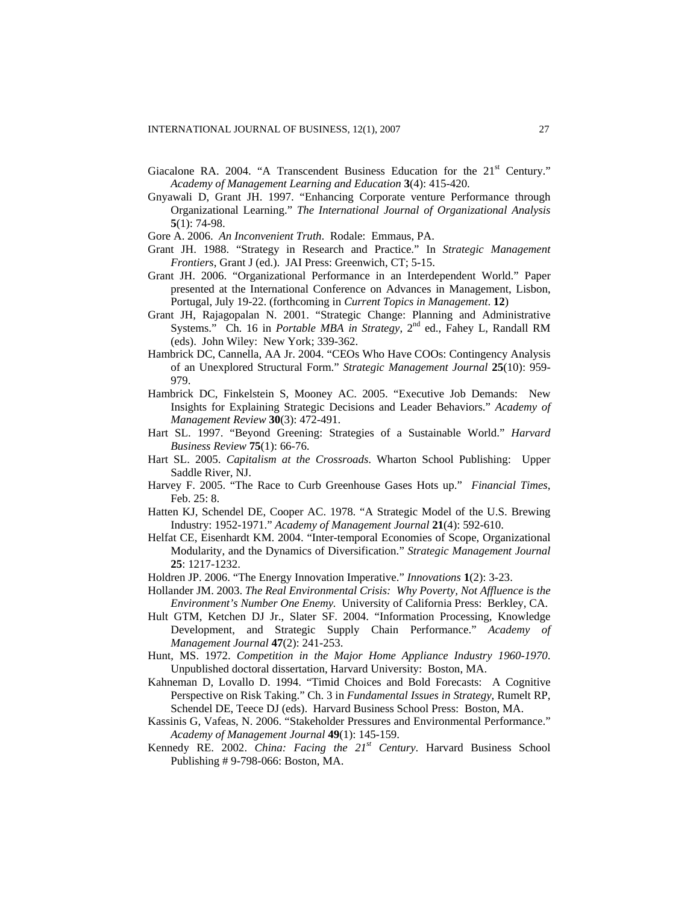- Giacalone RA. 2004. "A Transcendent Business Education for the 21<sup>st</sup> Century." *Academy of Management Learning and Education* **3**(4): 415-420.
- Gnyawali D, Grant JH. 1997. "Enhancing Corporate venture Performance through Organizational Learning." *The International Journal of Organizational Analysis* **5**(1): 74-98.
- Gore A. 2006. *An Inconvenient Truth*. Rodale: Emmaus, PA.
- Grant JH. 1988. "Strategy in Research and Practice." In *Strategic Management Frontiers*, Grant J (ed.). JAI Press: Greenwich, CT; 5-15.
- Grant JH. 2006. "Organizational Performance in an Interdependent World." Paper presented at the International Conference on Advances in Management, Lisbon, Portugal, July 19-22. (forthcoming in *Current Topics in Management*. **12**)
- Grant JH, Rajagopalan N. 2001. "Strategic Change: Planning and Administrative Systems." Ch. 16 in *Portable MBA in Strategy*, 2<sup>nd</sup> ed., Fahey L, Randall RM (eds). John Wiley: New York; 339-362.
- Hambrick DC, Cannella, AA Jr. 2004. "CEOs Who Have COOs: Contingency Analysis of an Unexplored Structural Form." *Strategic Management Journal* **25**(10): 959- 979.
- Hambrick DC, Finkelstein S, Mooney AC. 2005. "Executive Job Demands: New Insights for Explaining Strategic Decisions and Leader Behaviors." *Academy of Management Review* **30**(3): 472-491.
- Hart SL. 1997. "Beyond Greening: Strategies of a Sustainable World." *Harvard Business Review* **75**(1): 66-76.
- Hart SL. 2005. *Capitalism at the Crossroads*. Wharton School Publishing: Upper Saddle River, NJ.
- Harvey F. 2005. "The Race to Curb Greenhouse Gases Hots up." *Financial Times*, Feb. 25: 8.
- Hatten KJ, Schendel DE, Cooper AC. 1978. "A Strategic Model of the U.S. Brewing Industry: 1952-1971." *Academy of Management Journal* **21**(4): 592-610.
- Helfat CE, Eisenhardt KM. 2004. "Inter-temporal Economies of Scope, Organizational Modularity, and the Dynamics of Diversification." *Strategic Management Journal* **25**: 1217-1232.
- Holdren JP. 2006. "The Energy Innovation Imperative." *Innovations* **1**(2): 3-23.
- Hollander JM. 2003. *The Real Environmental Crisis: Why Poverty, Not Affluence is the Environment's Number One Enemy.* University of California Press: Berkley, CA.
- Hult GTM, Ketchen DJ Jr., Slater SF. 2004. "Information Processing, Knowledge Development, and Strategic Supply Chain Performance." *Academy of Management Journal* **47**(2): 241-253.
- Hunt, MS. 1972. *Competition in the Major Home Appliance Industry 1960-1970*. Unpublished doctoral dissertation, Harvard University: Boston, MA.
- Kahneman D, Lovallo D. 1994. "Timid Choices and Bold Forecasts: A Cognitive Perspective on Risk Taking." Ch. 3 in *Fundamental Issues in Strategy*, Rumelt RP, Schendel DE, Teece DJ (eds). Harvard Business School Press: Boston, MA.
- Kassinis G, Vafeas, N. 2006. "Stakeholder Pressures and Environmental Performance." *Academy of Management Journal* **49**(1): 145-159.
- Kennedy RE. 2002. *China: Facing the 21st Century*. Harvard Business School Publishing # 9-798-066: Boston, MA.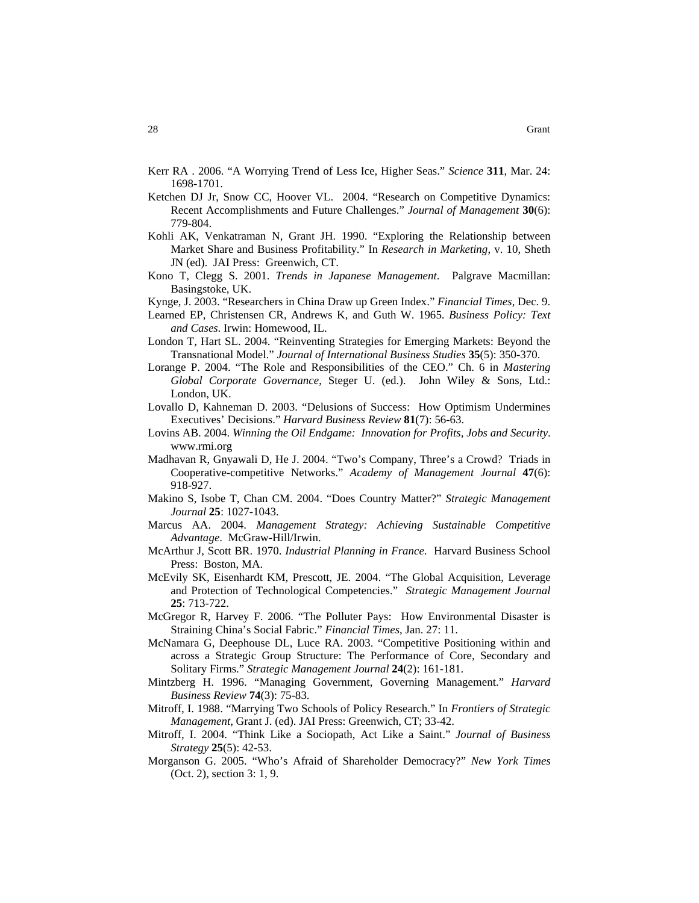- Kerr RA . 2006. "A Worrying Trend of Less Ice, Higher Seas." *Science* **311**, Mar. 24: 1698-1701.
- Ketchen DJ Jr, Snow CC, Hoover VL. 2004. "Research on Competitive Dynamics: Recent Accomplishments and Future Challenges." *Journal of Management* **30**(6): 779-804.
- Kohli AK, Venkatraman N, Grant JH. 1990. "Exploring the Relationship between Market Share and Business Profitability." In *Research in Marketing*, v. 10, Sheth JN (ed). JAI Press: Greenwich, CT.
- Kono T, Clegg S. 2001. *Trends in Japanese Management*. Palgrave Macmillan: Basingstoke, UK.
- Kynge, J. 2003. "Researchers in China Draw up Green Index." *Financial Times*, Dec. 9.
- Learned EP, Christensen CR, Andrews K, and Guth W. 1965. *Business Policy: Text and Cases*. Irwin: Homewood, IL.
- London T, Hart SL. 2004. "Reinventing Strategies for Emerging Markets: Beyond the Transnational Model." *Journal of International Business Studies* **35**(5): 350-370.
- Lorange P. 2004. "The Role and Responsibilities of the CEO." Ch. 6 in *Mastering Global Corporate Governance*, Steger U. (ed.). John Wiley & Sons, Ltd.: London, UK.
- Lovallo D, Kahneman D. 2003. "Delusions of Success: How Optimism Undermines Executives' Decisions." *Harvard Business Review* **81**(7): 56-63.
- Lovins AB. 2004. *Winning the Oil Endgame: Innovation for Profits, Jobs and Security*. [www.rmi.org](http://www.rmi.org/)
- Madhavan R, Gnyawali D, He J. 2004. "Two's Company, Three's a Crowd? Triads in Cooperative-competitive Networks." *Academy of Management Journal* **47**(6): 918-927.
- Makino S, Isobe T, Chan CM. 2004. "Does Country Matter?" *Strategic Management Journal* **25**: 1027-1043.
- Marcus AA. 2004. *Management Strategy: Achieving Sustainable Competitive Advantage*. McGraw-Hill/Irwin.
- McArthur J, Scott BR. 1970. *Industrial Planning in France*. Harvard Business School Press: Boston, MA.
- McEvily SK, Eisenhardt KM, Prescott, JE. 2004. "The Global Acquisition, Leverage and Protection of Technological Competencies." *Strategic Management Journal*  **25**: 713-722.
- McGregor R, Harvey F. 2006. "The Polluter Pays: How Environmental Disaster is Straining China's Social Fabric." *Financial Times*, Jan. 27: 11.
- McNamara G, Deephouse DL, Luce RA. 2003. "Competitive Positioning within and across a Strategic Group Structure: The Performance of Core, Secondary and Solitary Firms." *Strategic Management Journal* **24**(2): 161-181.
- Mintzberg H. 1996. "Managing Government, Governing Management." *Harvard Business Review* **74**(3): 75-83.
- Mitroff, I. 1988. "Marrying Two Schools of Policy Research." In *Frontiers of Strategic Management*, Grant J. (ed). JAI Press: Greenwich, CT; 33-42.
- Mitroff, I. 2004. "Think Like a Sociopath, Act Like a Saint." *Journal of Business Strategy* **25**(5): 42-53.
- Morganson G. 2005. "Who's Afraid of Shareholder Democracy?" *New York Times*  (Oct. 2), section 3: 1, 9.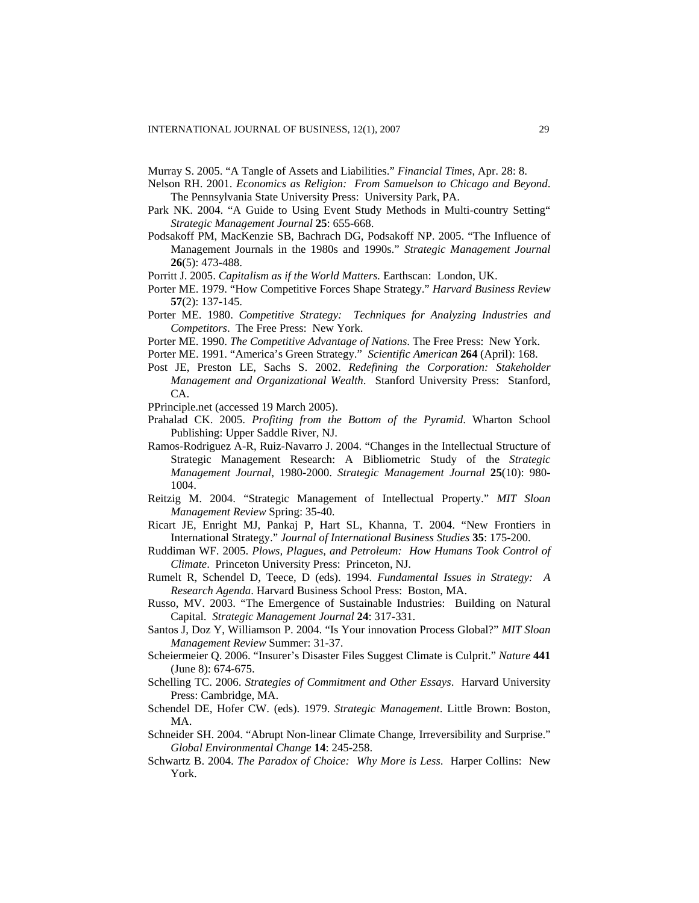Murray S. 2005. "A Tangle of Assets and Liabilities." *Financial Times*, Apr. 28: 8.

- Nelson RH. 2001. *Economics as Religion: From Samuelson to Chicago and Beyond*. The Pennsylvania State University Press: University Park, PA.
- Park NK. 2004. "A Guide to Using Event Study Methods in Multi-country Setting" *Strategic Management Journal* **25**: 655-668.
- Podsakoff PM, MacKenzie SB, Bachrach DG, Podsakoff NP. 2005. "The Influence of Management Journals in the 1980s and 1990s." *Strategic Management Journal* **26**(5): 473-488.
- Porritt J. 2005. *Capitalism as if the World Matters.* Earthscan: London, UK.
- Porter ME. 1979. "How Competitive Forces Shape Strategy." *Harvard Business Review*  **57**(2): 137-145.
- Porter ME. 1980. *Competitive Strategy: Techniques for Analyzing Industries and Competitors*. The Free Press: New York.
- Porter ME. 1990. *The Competitive Advantage of Nations*. The Free Press: New York.
- Porter ME. 1991. "America's Green Strategy." *Scientific American* **264** (April): 168.
- Post JE, Preston LE, Sachs S. 2002. *Redefining the Corporation: Stakeholder Management and Organizational Wealth*. Stanford University Press: Stanford, CA.
- PPrinciple.net (accessed 19 March 2005).
- Prahalad CK. 2005. *Profiting from the Bottom of the Pyramid*. Wharton School Publishing: Upper Saddle River, NJ.
- Ramos-Rodriguez A-R, Ruiz-Navarro J. 2004. "Changes in the Intellectual Structure of Strategic Management Research: A Bibliometric Study of the *Strategic Management Journal*, 1980-2000. *Strategic Management Journal* **25**(10): 980- 1004.
- Reitzig M. 2004. "Strategic Management of Intellectual Property." *MIT Sloan Management Review* Spring: 35-40.
- Ricart JE, Enright MJ, Pankaj P, Hart SL, Khanna, T. 2004. "New Frontiers in International Strategy." *Journal of International Business Studies* **35**: 175-200.
- Ruddiman WF. 2005. *Plows, Plagues, and Petroleum: How Humans Took Control of Climate*. Princeton University Press: Princeton, NJ.
- Rumelt R, Schendel D, Teece, D (eds). 1994. *Fundamental Issues in Strategy: A Research Agenda*. Harvard Business School Press: Boston, MA.
- Russo, MV. 2003. "The Emergence of Sustainable Industries: Building on Natural Capital. *Strategic Management Journal* **24**: 317-331.
- Santos J, Doz Y, Williamson P. 2004. "Is Your innovation Process Global?" *MIT Sloan Management Review* Summer: 31-37.
- Scheiermeier Q. 2006. "Insurer's Disaster Files Suggest Climate is Culprit." *Nature* **441** (June 8): 674-675.
- Schelling TC. 2006. *Strategies of Commitment and Other Essays*. Harvard University Press: Cambridge, MA.
- Schendel DE, Hofer CW. (eds). 1979. *Strategic Management*. Little Brown: Boston, MA.
- Schneider SH. 2004. "Abrupt Non-linear Climate Change, Irreversibility and Surprise." *Global Environmental Change* **14**: 245-258.
- Schwartz B. 2004. *The Paradox of Choice: Why More is Less*. Harper Collins: New York.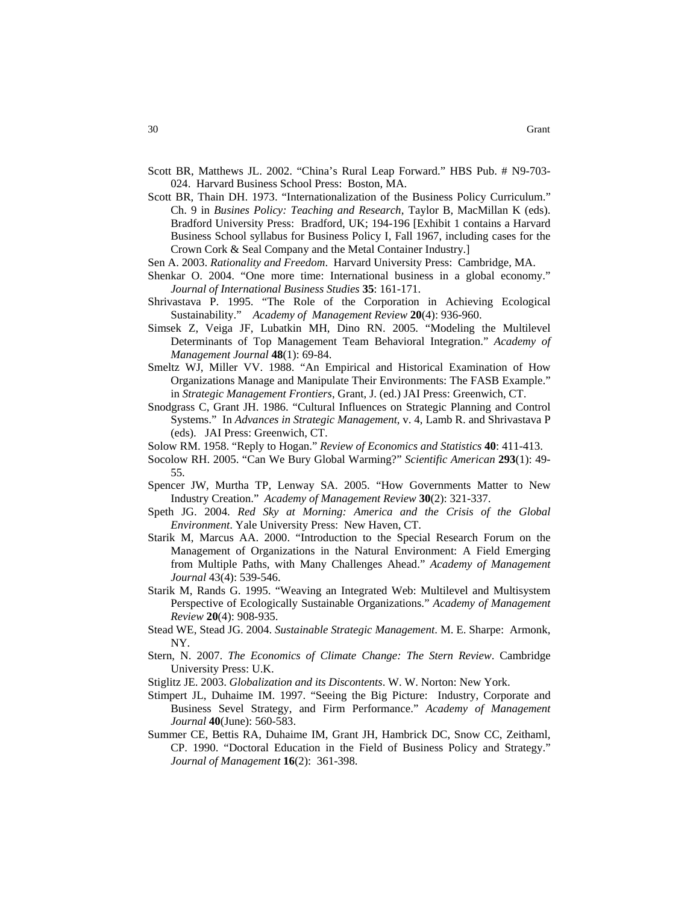- Scott BR, Matthews JL. 2002. "China's Rural Leap Forward." HBS Pub. # N9-703- 024. Harvard Business School Press: Boston, MA.
- Scott BR, Thain DH. 1973. "Internationalization of the Business Policy Curriculum." Ch. 9 in *Busines Policy: Teaching and Research*, Taylor B, MacMillan K (eds). Bradford University Press: Bradford, UK; 194-196 [Exhibit 1 contains a Harvard Business School syllabus for Business Policy I, Fall 1967, including cases for the Crown Cork & Seal Company and the Metal Container Industry.]
- Sen A. 2003. *Rationality and Freedom*. Harvard University Press: Cambridge, MA.
- Shenkar O. 2004. "One more time: International business in a global economy." *Journal of International Business Studies* **35**: 161-171.
- Shrivastava P. 1995. "The Role of the Corporation in Achieving Ecological Sustainability." *Academy of Management Review* **20**(4): 936-960.
- Simsek Z, Veiga JF, Lubatkin MH, Dino RN. 2005. "Modeling the Multilevel Determinants of Top Management Team Behavioral Integration." *Academy of Management Journal* **48**(1): 69-84.
- Smeltz WJ, Miller VV. 1988. "An Empirical and Historical Examination of How Organizations Manage and Manipulate Their Environments: The FASB Example." in *Strategic Management Frontiers*, Grant, J. (ed.) JAI Press: Greenwich, CT.
- Snodgrass C, Grant JH. 1986. "Cultural Influences on Strategic Planning and Control Systems." In *Advances in Strategic Management*, v. 4, Lamb R. and Shrivastava P (eds). JAI Press: Greenwich, CT.
- Solow RM. 1958. "Reply to Hogan." *Review of Economics and Statistics* **40**: 411-413.
- Socolow RH. 2005. "Can We Bury Global Warming?" *Scientific American* **293**(1): 49- 55.
- Spencer JW, Murtha TP, Lenway SA. 2005. "How Governments Matter to New Industry Creation." *Academy of Management Review* **30**(2): 321-337.
- Speth JG. 2004. *Red Sky at Morning: America and the Crisis of the Global Environment*. Yale University Press: New Haven, CT.
- Starik M, Marcus AA. 2000. "Introduction to the Special Research Forum on the Management of Organizations in the Natural Environment: A Field Emerging from Multiple Paths, with Many Challenges Ahead." *Academy of Management Journal* 43(4): 539-546.
- Starik M, Rands G. 1995. "Weaving an Integrated Web: Multilevel and Multisystem Perspective of Ecologically Sustainable Organizations." *Academy of Management Review* **20**(4): 908-935.
- Stead WE, Stead JG. 2004. *Sustainable Strategic Management*. M. E. Sharpe: Armonk, NY.
- Stern, N. 2007. *The Economics of Climate Change: The Stern Review*. Cambridge University Press: U.K.
- Stiglitz JE. 2003. *Globalization and its Discontents*. W. W. Norton: New York.
- Stimpert JL, Duhaime IM. 1997. "Seeing the Big Picture: Industry, Corporate and Business Sevel Strategy, and Firm Performance." *Academy of Management Journal* **40**(June): 560-583.
- Summer CE, Bettis RA, Duhaime IM, Grant JH, Hambrick DC, Snow CC, Zeithaml, CP. 1990. "Doctoral Education in the Field of Business Policy and Strategy." *Journal of Management* **16**(2): 361-398.